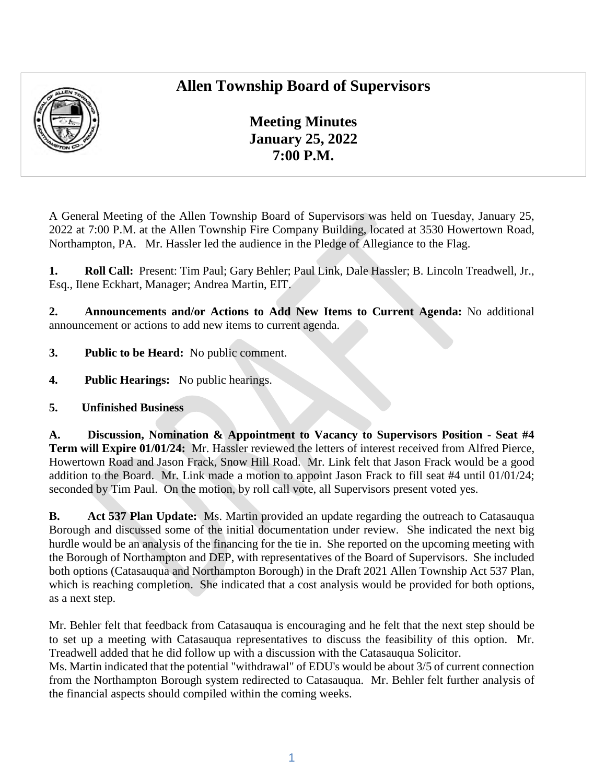## **Allen Township Board of Supervisors**



**Meeting Minutes January 25, 2022 7:00 P.M.** 

A General Meeting of the Allen Township Board of Supervisors was held on Tuesday, January 25, 2022 at 7:00 P.M. at the Allen Township Fire Company Building, located at 3530 Howertown Road, Northampton, PA. Mr. Hassler led the audience in the Pledge of Allegiance to the Flag.

**1. Roll Call:** Present: Tim Paul; Gary Behler; Paul Link, Dale Hassler; B. Lincoln Treadwell, Jr., Esq., Ilene Eckhart, Manager; Andrea Martin, EIT.

**2. Announcements and/or Actions to Add New Items to Current Agenda:** No additional announcement or actions to add new items to current agenda.

- **3. Public to be Heard:** No public comment.
- **4. Public Hearings:** No public hearings.
- **5. Unfinished Business**

**A. Discussion, Nomination & Appointment to Vacancy to Supervisors Position - Seat #4 Term will Expire 01/01/24:** Mr. Hassler reviewed the letters of interest received from Alfred Pierce, Howertown Road and Jason Frack, Snow Hill Road. Mr. Link felt that Jason Frack would be a good addition to the Board. Mr. Link made a motion to appoint Jason Frack to fill seat #4 until 01/01/24; seconded by Tim Paul. On the motion, by roll call vote, all Supervisors present voted yes.

**B. Act 537 Plan Update:** Ms. Martin provided an update regarding the outreach to Catasauqua Borough and discussed some of the initial documentation under review. She indicated the next big hurdle would be an analysis of the financing for the tie in. She reported on the upcoming meeting with the Borough of Northampton and DEP, with representatives of the Board of Supervisors. She included both options (Catasauqua and Northampton Borough) in the Draft 2021 Allen Township Act 537 Plan, which is reaching completion. She indicated that a cost analysis would be provided for both options, as a next step.

Mr. Behler felt that feedback from Catasauqua is encouraging and he felt that the next step should be to set up a meeting with Catasauqua representatives to discuss the feasibility of this option. Mr. Treadwell added that he did follow up with a discussion with the Catasauqua Solicitor.

Ms. Martin indicated that the potential "withdrawal" of EDU's would be about 3/5 of current connection from the Northampton Borough system redirected to Catasauqua. Mr. Behler felt further analysis of the financial aspects should compiled within the coming weeks.